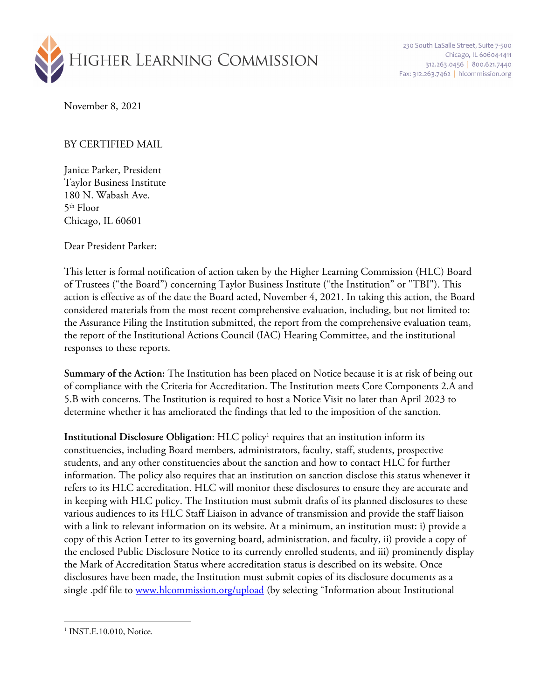

230 South LaSalle Street, Suite 7-500 Chicago, IL 60604-1411 312.263.0456 800.621.7440 Fax: 312.263.7462 | hlcommission.org

November 8, 2021

## BY CERTIFIED MAIL

Janice Parker, President Taylor Business Institute 180 N. Wabash Ave.  $5<sup>th</sup>$  Floor Chicago, IL 60601

Dear President Parker:

This letter is formal notification of action taken by the Higher Learning Commission (HLC) Board of Trustees ("the Board") concerning Taylor Business Institute ("the Institution" or "TBI"). This action is effective as of the date the Board acted, November 4, 2021. In taking this action, the Board considered materials from the most recent comprehensive evaluation, including, but not limited to: the Assurance Filing the Institution submitted, the report from the comprehensive evaluation team, the report of the Institutional Actions Council (IAC) Hearing Committee, and the institutional responses to these reports.

**Summary of the Action:** The Institution has been placed on Notice because it is at risk of being out of compliance with the Criteria for Accreditation. The Institution meets Core Components 2.A and 5.B with concerns. The Institution is required to host a Notice Visit no later than April 2023 to determine whether it has ameliorated the findings that led to the imposition of the sanction.

**Institutional Disclosure Obligation:** HLC policy<sup>1</sup> requires that an institution inform its constituencies, including Board members, administrators, faculty, staff, students, prospective students, and any other constituencies about the sanction and how to contact HLC for further information. The policy also requires that an institution on sanction disclose this status whenever it refers to its HLC accreditation. HLC will monitor these disclosures to ensure they are accurate and in keeping with HLC policy. The Institution must submit drafts of its planned disclosures to these various audiences to its HLC Staff Liaison in advance of transmission and provide the staff liaison with a link to relevant information on its website. At a minimum, an institution must: i) provide a copy of this Action Letter to its governing board, administration, and faculty, ii) provide a copy of the enclosed Public Disclosure Notice to its currently enrolled students, and iii) prominently display the Mark of Accreditation Status where accreditation status is described on its website. Once disclosures have been made, the Institution must submit copies of its disclosure documents as a single .pdf file to www.hlcommission.org/upload (by selecting "Information about Institutional

<sup>&</sup>lt;sup>1</sup> INST.E.10.010, Notice.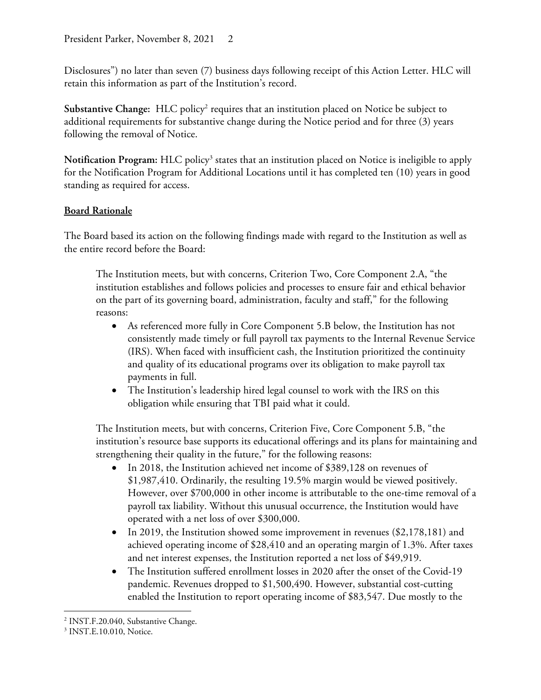Disclosures") no later than seven (7) business days following receipt of this Action Letter. HLC will retain this information as part of the Institution's record.

Substantive Change: HLC policy<sup>2</sup> requires that an institution placed on Notice be subject to additional requirements for substantive change during the Notice period and for three (3) years following the removal of Notice.

Notification Program: HLC policy<sup>3</sup> states that an institution placed on Notice is ineligible to apply for the Notification Program for Additional Locations until it has completed ten (10) years in good standing as required for access.

## **Board Rationale**

The Board based its action on the following findings made with regard to the Institution as well as the entire record before the Board:

The Institution meets, but with concerns, Criterion Two, Core Component 2.A, "the institution establishes and follows policies and processes to ensure fair and ethical behavior on the part of its governing board, administration, faculty and staff," for the following reasons:

- As referenced more fully in Core Component 5.B below, the Institution has not consistently made timely or full payroll tax payments to the Internal Revenue Service (IRS). When faced with insufficient cash, the Institution prioritized the continuity and quality of its educational programs over its obligation to make payroll tax payments in full.
- The Institution's leadership hired legal counsel to work with the IRS on this obligation while ensuring that TBI paid what it could.

The Institution meets, but with concerns, Criterion Five, Core Component 5.B, "the institution's resource base supports its educational offerings and its plans for maintaining and strengthening their quality in the future," for the following reasons:

- In 2018, the Institution achieved net income of \$389,128 on revenues of \$1,987,410. Ordinarily, the resulting 19.5% margin would be viewed positively. However, over \$700,000 in other income is attributable to the one-time removal of a payroll tax liability. Without this unusual occurrence, the Institution would have operated with a net loss of over \$300,000.
- In 2019, the Institution showed some improvement in revenues (\$2,178,181) and achieved operating income of \$28,410 and an operating margin of 1.3%. After taxes and net interest expenses, the Institution reported a net loss of \$49,919.
- The Institution suffered enrollment losses in 2020 after the onset of the Covid-19 pandemic. Revenues dropped to \$1,500,490. However, substantial cost-cutting enabled the Institution to report operating income of \$83,547. Due mostly to the

<sup>&</sup>lt;sup>2</sup> INST.F.20.040, Substantive Change.

<sup>3</sup> INST.E.10.010, Notice.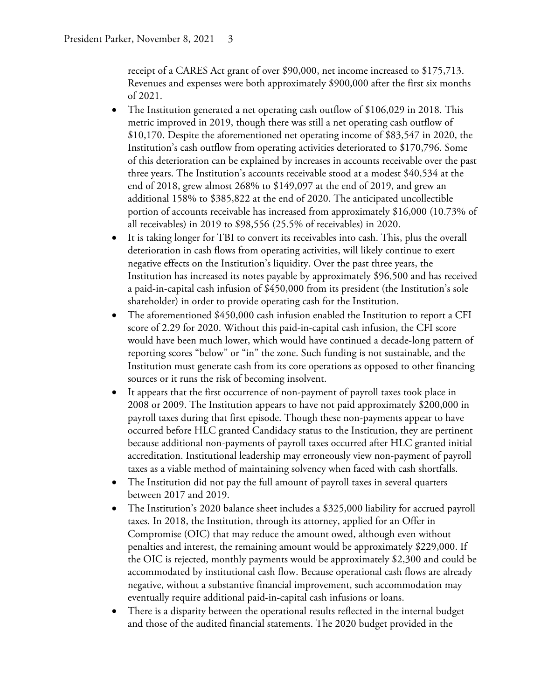receipt of a CARES Act grant of over \$90,000, net income increased to \$175,713. Revenues and expenses were both approximately \$900,000 after the first six months of 2021.

- The Institution generated a net operating cash outflow of \$106,029 in 2018. This metric improved in 2019, though there was still a net operating cash outflow of \$10,170. Despite the aforementioned net operating income of \$83,547 in 2020, the Institution's cash outflow from operating activities deteriorated to \$170,796. Some of this deterioration can be explained by increases in accounts receivable over the past three years. The Institution's accounts receivable stood at a modest \$40,534 at the end of 2018, grew almost 268% to \$149,097 at the end of 2019, and grew an additional 158% to \$385,822 at the end of 2020. The anticipated uncollectible portion of accounts receivable has increased from approximately \$16,000 (10.73% of all receivables) in 2019 to \$98,556 (25.5% of receivables) in 2020.
- It is taking longer for TBI to convert its receivables into cash. This, plus the overall deterioration in cash flows from operating activities, will likely continue to exert negative effects on the Institution's liquidity. Over the past three years, the Institution has increased its notes payable by approximately \$96,500 and has received a paid-in-capital cash infusion of \$450,000 from its president (the Institution's sole shareholder) in order to provide operating cash for the Institution.
- The aforementioned \$450,000 cash infusion enabled the Institution to report a CFI score of 2.29 for 2020. Without this paid-in-capital cash infusion, the CFI score would have been much lower, which would have continued a decade-long pattern of reporting scores "below" or "in" the zone. Such funding is not sustainable, and the Institution must generate cash from its core operations as opposed to other financing sources or it runs the risk of becoming insolvent.
- It appears that the first occurrence of non-payment of payroll taxes took place in 2008 or 2009. The Institution appears to have not paid approximately \$200,000 in payroll taxes during that first episode. Though these non-payments appear to have occurred before HLC granted Candidacy status to the Institution, they are pertinent because additional non-payments of payroll taxes occurred after HLC granted initial accreditation. Institutional leadership may erroneously view non-payment of payroll taxes as a viable method of maintaining solvency when faced with cash shortfalls.
- The Institution did not pay the full amount of payroll taxes in several quarters between 2017 and 2019.
- The Institution's 2020 balance sheet includes a \$325,000 liability for accrued payroll taxes. In 2018, the Institution, through its attorney, applied for an Offer in Compromise (OIC) that may reduce the amount owed, although even without penalties and interest, the remaining amount would be approximately \$229,000. If the OIC is rejected, monthly payments would be approximately \$2,300 and could be accommodated by institutional cash flow. Because operational cash flows are already negative, without a substantive financial improvement, such accommodation may eventually require additional paid-in-capital cash infusions or loans.
- There is a disparity between the operational results reflected in the internal budget and those of the audited financial statements. The 2020 budget provided in the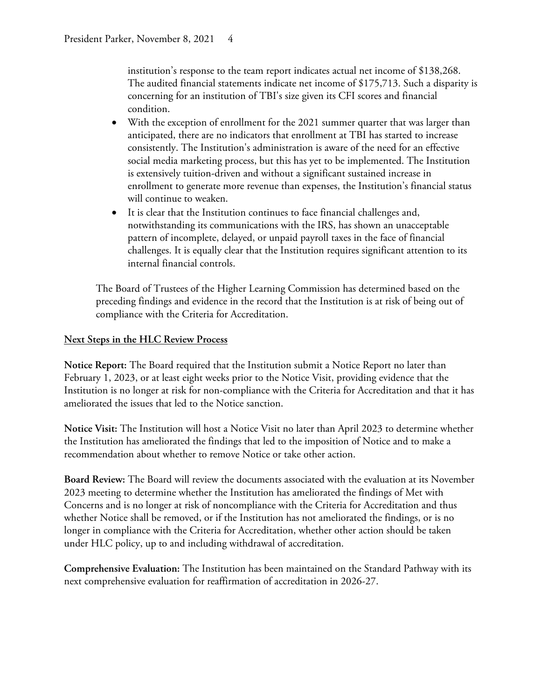institution's response to the team report indicates actual net income of \$138,268. The audited financial statements indicate net income of \$175,713. Such a disparity is concerning for an institution of TBI's size given its CFI scores and financial condition.

- With the exception of enrollment for the 2021 summer quarter that was larger than anticipated, there are no indicators that enrollment at TBI has started to increase consistently. The Institution's administration is aware of the need for an effective social media marketing process, but this has yet to be implemented. The Institution is extensively tuition-driven and without a significant sustained increase in enrollment to generate more revenue than expenses, the Institution's financial status will continue to weaken.
- It is clear that the Institution continues to face financial challenges and, notwithstanding its communications with the IRS, has shown an unacceptable pattern of incomplete, delayed, or unpaid payroll taxes in the face of financial challenges. It is equally clear that the Institution requires significant attention to its internal financial controls.

The Board of Trustees of the Higher Learning Commission has determined based on the preceding findings and evidence in the record that the Institution is at risk of being out of compliance with the Criteria for Accreditation.

## **Next Steps in the HLC Review Process**

**Notice Report:** The Board required that the Institution submit a Notice Report no later than February 1, 2023, or at least eight weeks prior to the Notice Visit, providing evidence that the Institution is no longer at risk for non-compliance with the Criteria for Accreditation and that it has ameliorated the issues that led to the Notice sanction.

**Notice Visit:** The Institution will host a Notice Visit no later than April 2023 to determine whether the Institution has ameliorated the findings that led to the imposition of Notice and to make a recommendation about whether to remove Notice or take other action.

**Board Review:** The Board will review the documents associated with the evaluation at its November 2023 meeting to determine whether the Institution has ameliorated the findings of Met with Concerns and is no longer at risk of noncompliance with the Criteria for Accreditation and thus whether Notice shall be removed, or if the Institution has not ameliorated the findings, or is no longer in compliance with the Criteria for Accreditation, whether other action should be taken under HLC policy, up to and including withdrawal of accreditation.

**Comprehensive Evaluation:** The Institution has been maintained on the Standard Pathway with its next comprehensive evaluation for reaffirmation of accreditation in 2026-27.